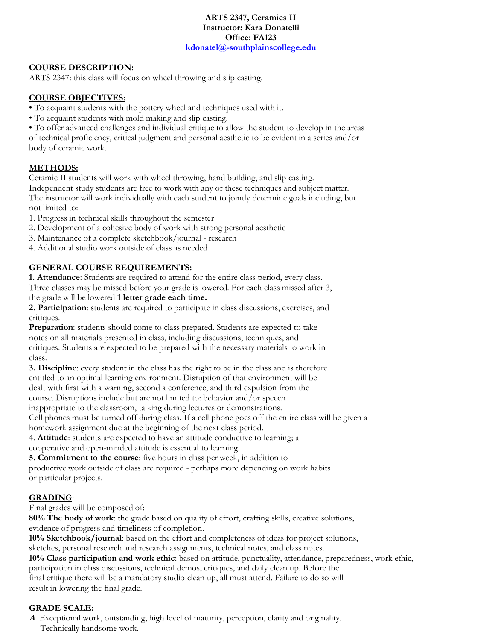**ARTS 2347, Ceramics II Instructor: Kara Donatelli Office: FA123 kdonatel@-southplainscollege.edu**

# **COURSE DESCRIPTION:**

ARTS 2347: this class will focus on wheel throwing and slip casting.

# **COURSE OBJECTIVES:**

- To acquaint students with the pottery wheel and techniques used with it.
- To acquaint students with mold making and slip casting.

• To offer advanced challenges and individual critique to allow the student to develop in the areas of technical proficiency, critical judgment and personal aesthetic to be evident in a series and/or body of ceramic work.

# **METHODS:**

Ceramic II students will work with wheel throwing, hand building, and slip casting.

Independent study students are free to work with any of these techniques and subject matter. The instructor will work individually with each student to jointly determine goals including, but not limited to:

1. Progress in technical skills throughout the semester

- 2. Development of a cohesive body of work with strong personal aesthetic
- 3. Maintenance of a complete sketchbook/journal research
- 4. Additional studio work outside of class as needed

# **GENERAL COURSE REQUIREMENTS:**

**1. Attendance**: Students are required to attend for the entire class period, every class.

Three classes may be missed before your grade is lowered. For each class missed after 3, the grade will be lowered **1 letter grade each time.**

**2. Participation**: students are required to participate in class discussions, exercises, and critiques.

**Preparation**: students should come to class prepared. Students are expected to take notes on all materials presented in class, including discussions, techniques, and critiques. Students are expected to be prepared with the necessary materials to work in class.

**3. Discipline**: every student in the class has the right to be in the class and is therefore entitled to an optimal learning environment. Disruption of that environment will be dealt with first with a warning, second a conference, and third expulsion from the course. Disruptions include but are not limited to: behavior and/or speech

inappropriate to the classroom, talking during lectures or demonstrations.

Cell phones must be turned off during class. If a cell phone goes off the entire class will be given a homework assignment due at the beginning of the next class period.

4. **Attitude**: students are expected to have an attitude conductive to learning; a cooperative and open-minded attitude is essential to learning.

**5. Commitment to the course**: five hours in class per week, in addition to productive work outside of class are required - perhaps more depending on work habits or particular projects.

#### **GRADING**:

Final grades will be composed of:

**80% The body of work**: the grade based on quality of effort, crafting skills, creative solutions, evidence of progress and timeliness of completion.

**10% Sketchbook/journal**: based on the effort and completeness of ideas for project solutions,

sketches, personal research and research assignments, technical notes, and class notes.

**10% Class participation and work ethic**: based on attitude, punctuality, attendance, preparedness, work ethic, participation in class discussions, technical demos, critiques, and daily clean up. Before the final critique there will be a mandatory studio clean up, all must attend. Failure to do so will result in lowering the final grade.

# **GRADE SCALE:**

**<sup>A</sup>** Exceptional work, outstanding, high level of maturity, perception, clarity and originality. Technically handsome work.